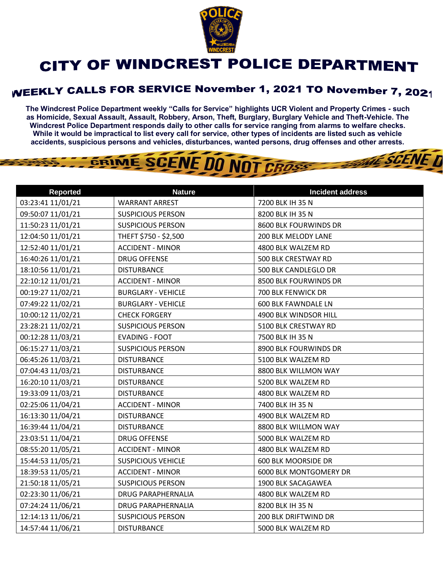

## CITY OF WINDCREST POLICE DEPARTMENT

## WEEKLY CALLS FOR SERVICE November 1, 2021 TO November 7, 2021

**The Windcrest Police Department weekly "Calls for Service" highlights UCR Violent and Property Crimes - such as Homicide, Sexual Assault, Assault, Robbery, Arson, Theft, Burglary, Burglary Vehicle and Theft-Vehicle. The Windcrest Police Department responds daily to other calls for service ranging from alarms to welfare checks. While it would be impractical to list every call for service, other types of incidents are listed such as vehicle accidents, suspicious persons and vehicles, disturbances, wanted persons, drug offenses and other arrests.** 

**THE SCENE D** 

## GRIME SCENE DO NOT CROSS

| <b>Reported</b>   | <b>Nature</b>             | <b>Incident address</b>    |
|-------------------|---------------------------|----------------------------|
| 03:23:41 11/01/21 | <b>WARRANT ARREST</b>     | 7200 BLK IH 35 N           |
| 09:50:07 11/01/21 | <b>SUSPICIOUS PERSON</b>  | 8200 BLK IH 35 N           |
| 11:50:23 11/01/21 | <b>SUSPICIOUS PERSON</b>  | 8600 BLK FOURWINDS DR      |
| 12:04:50 11/01/21 | THEFT \$750 - \$2,500     | 200 BLK MELODY LANE        |
| 12:52:40 11/01/21 | <b>ACCIDENT - MINOR</b>   | 4800 BLK WALZEM RD         |
| 16:40:26 11/01/21 | <b>DRUG OFFENSE</b>       | 500 BLK CRESTWAY RD        |
| 18:10:56 11/01/21 | <b>DISTURBANCE</b>        | 500 BLK CANDLEGLO DR       |
| 22:10:12 11/01/21 | <b>ACCIDENT - MINOR</b>   | 8500 BLK FOURWINDS DR      |
| 00:19:27 11/02/21 | <b>BURGLARY - VEHICLE</b> | 700 BLK FENWICK DR         |
| 07:49:22 11/02/21 | <b>BURGLARY - VEHICLE</b> | <b>600 BLK FAWNDALE LN</b> |
| 10:00:12 11/02/21 | <b>CHECK FORGERY</b>      | 4900 BLK WINDSOR HILL      |
| 23:28:21 11/02/21 | <b>SUSPICIOUS PERSON</b>  | 5100 BLK CRESTWAY RD       |
| 00:12:28 11/03/21 | <b>EVADING - FOOT</b>     | 7500 BLK IH 35 N           |
| 06:15:27 11/03/21 | <b>SUSPICIOUS PERSON</b>  | 8900 BLK FOURWINDS DR      |
| 06:45:26 11/03/21 | <b>DISTURBANCE</b>        | 5100 BLK WALZEM RD         |
| 07:04:43 11/03/21 | <b>DISTURBANCE</b>        | 8800 BLK WILLMON WAY       |
| 16:20:10 11/03/21 | <b>DISTURBANCE</b>        | 5200 BLK WALZEM RD         |
| 19:33:09 11/03/21 | <b>DISTURBANCE</b>        | 4800 BLK WALZEM RD         |
| 02:25:06 11/04/21 | <b>ACCIDENT - MINOR</b>   | 7400 BLK IH 35 N           |
| 16:13:30 11/04/21 | <b>DISTURBANCE</b>        | 4900 BLK WALZEM RD         |
| 16:39:44 11/04/21 | <b>DISTURBANCE</b>        | 8800 BLK WILLMON WAY       |
| 23:03:51 11/04/21 | <b>DRUG OFFENSE</b>       | 5000 BLK WALZEM RD         |
| 08:55:20 11/05/21 | <b>ACCIDENT - MINOR</b>   | 4800 BLK WALZEM RD         |
| 15:44:53 11/05/21 | <b>SUSPICIOUS VEHICLE</b> | 600 BLK MOORSIDE DR        |
| 18:39:53 11/05/21 | <b>ACCIDENT - MINOR</b>   | 6000 BLK MONTGOMERY DR     |
| 21:50:18 11/05/21 | <b>SUSPICIOUS PERSON</b>  | 1900 BLK SACAGAWEA         |
| 02:23:30 11/06/21 | <b>DRUG PARAPHERNALIA</b> | 4800 BLK WALZEM RD         |
| 07:24:24 11/06/21 | <b>DRUG PARAPHERNALIA</b> | 8200 BLK IH 35 N           |
| 12:14:13 11/06/21 | <b>SUSPICIOUS PERSON</b>  | 200 BLK DRIFTWIND DR       |
| 14:57:44 11/06/21 | <b>DISTURBANCE</b>        | 5000 BLK WALZEM RD         |